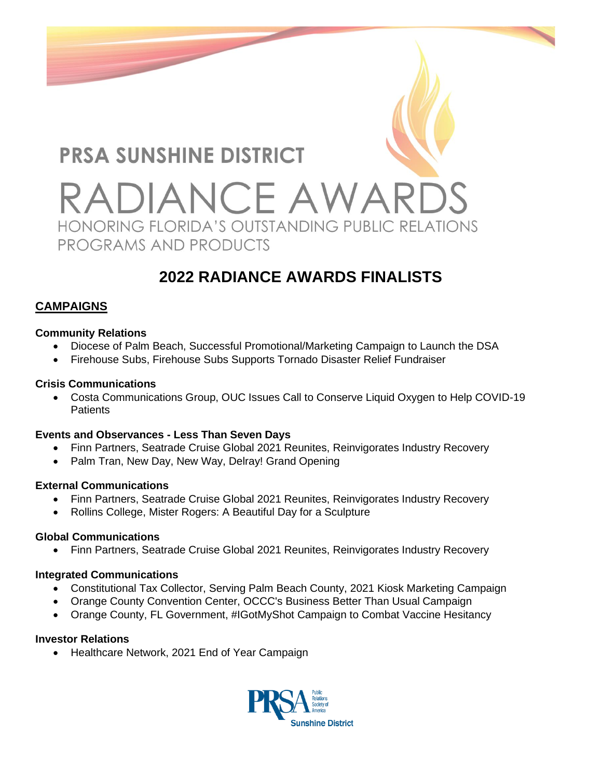

# **2022 RADIANCE AWARDS FINALISTS**

# **CAMPAIGNS**

#### **Community Relations**

- Diocese of Palm Beach, Successful Promotional/Marketing Campaign to Launch the DSA
- Firehouse Subs, Firehouse Subs Supports Tornado Disaster Relief Fundraiser

#### **Crisis Communications**

• Costa Communications Group, OUC Issues Call to Conserve Liquid Oxygen to Help COVID-19 Patients

#### **Events and Observances - Less Than Seven Days**

- Finn Partners, Seatrade Cruise Global 2021 Reunites, Reinvigorates Industry Recovery
- Palm Tran, New Day, New Way, Delray! Grand Opening

# **External Communications**

- Finn Partners, Seatrade Cruise Global 2021 Reunites, Reinvigorates Industry Recovery
- Rollins College, Mister Rogers: A Beautiful Day for a Sculpture

# **Global Communications**

• Finn Partners, Seatrade Cruise Global 2021 Reunites, Reinvigorates Industry Recovery

#### **Integrated Communications**

- Constitutional Tax Collector, Serving Palm Beach County, 2021 Kiosk Marketing Campaign
- Orange County Convention Center, OCCC's Business Better Than Usual Campaign
- Orange County, FL Government, #IGotMyShot Campaign to Combat Vaccine Hesitancy

# **Investor Relations**

• Healthcare Network, 2021 End of Year Campaign

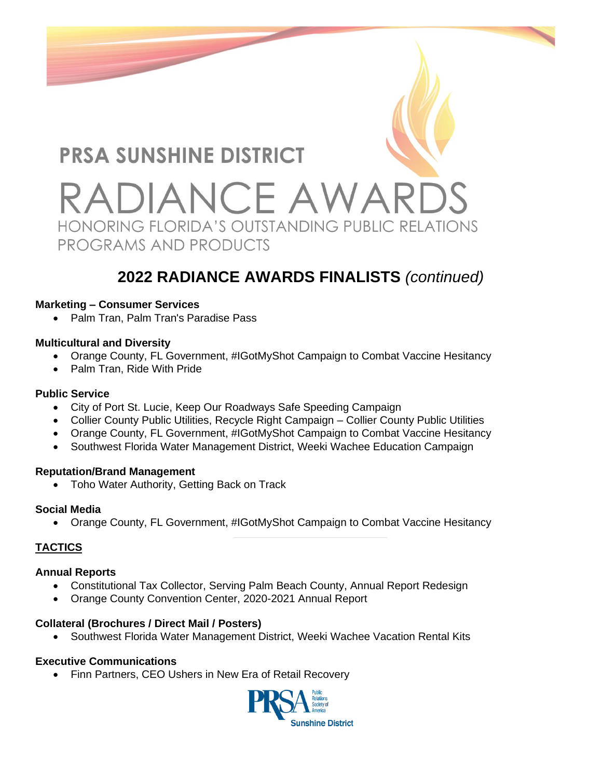

# **2022 RADIANCE AWARDS FINALISTS** *(continued)*

#### **Marketing – Consumer Services**

• Palm Tran, Palm Tran's Paradise Pass

#### **Multicultural and Diversity**

- Orange County, FL Government, #IGotMyShot Campaign to Combat Vaccine Hesitancy
- Palm Tran, Ride With Pride

#### **Public Service**

- City of Port St. Lucie, Keep Our Roadways Safe Speeding Campaign
- Collier County Public Utilities, Recycle Right Campaign Collier County Public Utilities
- Orange County, FL Government, #IGotMyShot Campaign to Combat Vaccine Hesitancy
- Southwest Florida Water Management District, Weeki Wachee Education Campaign

#### **Reputation/Brand Management**

• Toho Water Authority, Getting Back on Track

# **Social Media**

• Orange County, FL Government, #IGotMyShot Campaign to Combat Vaccine Hesitancy

# **TACTICS**

# **Annual Reports**

- Constitutional Tax Collector, Serving Palm Beach County, Annual Report Redesign
- Orange County Convention Center, 2020-2021 Annual Report

# **Collateral (Brochures / Direct Mail / Posters)**

• Southwest Florida Water Management District, Weeki Wachee Vacation Rental Kits

# **Executive Communications**

• Finn Partners, CEO Ushers in New Era of Retail Recovery